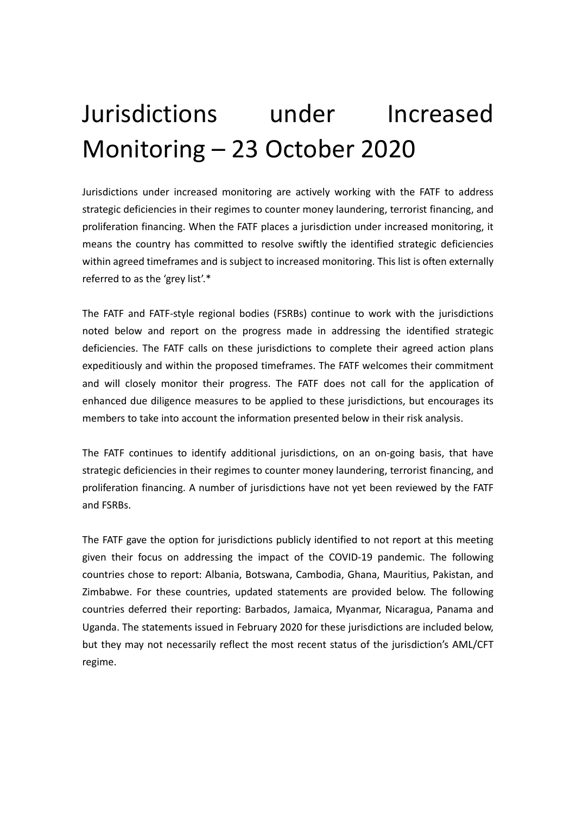# Jurisdictions under Increased Monitoring – 23 October 2020

Jurisdictions under increased monitoring are actively working with the FATF to address strategic deficiencies in their regimes to counter money laundering, terrorist financing, and proliferation financing. When the FATF places a jurisdiction under increased monitoring, it means the country has committed to resolve swiftly the identified strategic deficiencies within agreed timeframes and is subject to increased monitoring. This list is often externally referred to as the 'grey list'.\*

The FATF and FATF-style regional bodies (FSRBs) continue to work with the jurisdictions noted below and report on the progress made in addressing the identified strategic deficiencies. The FATF calls on these jurisdictions to complete their agreed action plans expeditiously and within the proposed timeframes. The FATF welcomes their commitment and will closely monitor their progress. The FATF does not call for the application of enhanced due diligence measures to be applied to these jurisdictions, but encourages its members to take into account the information presented below in their risk analysis.

The FATF continues to identify additional jurisdictions, on an on-going basis, that have strategic deficiencies in their regimes to counter money laundering, terrorist financing, and proliferation financing. A number of jurisdictions have not yet been reviewed by the FATF and FSRBs.

The FATF gave the option for jurisdictions publicly identified to not report at this meeting given their focus on addressing the impact of the COVID-19 pandemic. The following countries chose to report: Albania, Botswana, Cambodia, Ghana, Mauritius, Pakistan, and Zimbabwe. For these countries, updated statements are provided below. The following countries deferred their reporting: Barbados, Jamaica, Myanmar, Nicaragua, Panama and Uganda. The statements issued in February 2020 for these jurisdictions are included below, but they may not necessarily reflect the most recent status of the jurisdiction's AML/CFT regime.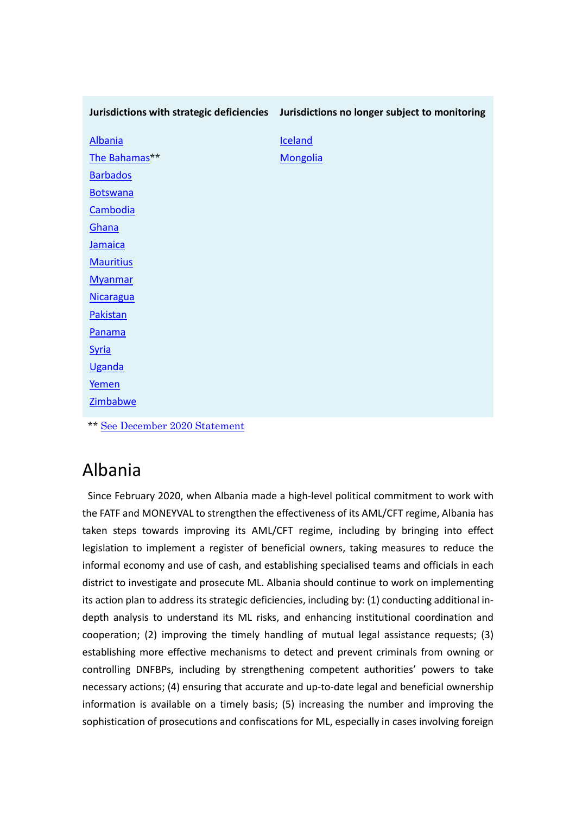|                                                                                | Jurisdictions with strategic deficiencies Jurisdictions no longer subject to monitoring |
|--------------------------------------------------------------------------------|-----------------------------------------------------------------------------------------|
| <b>Albania</b>                                                                 | Iceland                                                                                 |
| The Bahamas**                                                                  | <b>Mongolia</b>                                                                         |
| <b>Barbados</b>                                                                |                                                                                         |
| <b>Botswana</b>                                                                |                                                                                         |
| Cambodia                                                                       |                                                                                         |
| Ghana                                                                          |                                                                                         |
| Jamaica                                                                        |                                                                                         |
| <b>Mauritius</b>                                                               |                                                                                         |
| <b>Myanmar</b>                                                                 |                                                                                         |
| <b>Nicaragua</b>                                                               |                                                                                         |
| Pakistan                                                                       |                                                                                         |
| Panama                                                                         |                                                                                         |
| <b>Syria</b>                                                                   |                                                                                         |
| <b>Uganda</b>                                                                  |                                                                                         |
| Yemen                                                                          |                                                                                         |
| <b>Zimbabwe</b>                                                                |                                                                                         |
| $\mathbf{A} \times \mathbf{A}$ and $\mathbf{B}$<br>$\sim$ $\sim$ $\sim$ $\sim$ |                                                                                         |

\*\* [See December 2020 Statement](http://www.fatf-gafi.org/publications/high-risk-and-other-monitored-jurisdictions/documents/bahamas-delisting-2020.html)

# Albania

 Since February 2020, when Albania made a high-level political commitment to work with the FATF and MONEYVAL to strengthen the effectiveness of its AML/CFT regime, Albania has taken steps towards improving its AML/CFT regime, including by bringing into effect legislation to implement a register of beneficial owners, taking measures to reduce the informal economy and use of cash, and establishing specialised teams and officials in each district to investigate and prosecute ML. Albania should continue to work on implementing its action plan to address its strategic deficiencies, including by: (1) conducting additional indepth analysis to understand its ML risks, and enhancing institutional coordination and cooperation; (2) improving the timely handling of mutual legal assistance requests; (3) establishing more effective mechanisms to detect and prevent criminals from owning or controlling DNFBPs, including by strengthening competent authorities' powers to take necessary actions; (4) ensuring that accurate and up-to-date legal and beneficial ownership information is available on a timely basis; (5) increasing the number and improving the sophistication of prosecutions and confiscations for ML, especially in cases involving foreign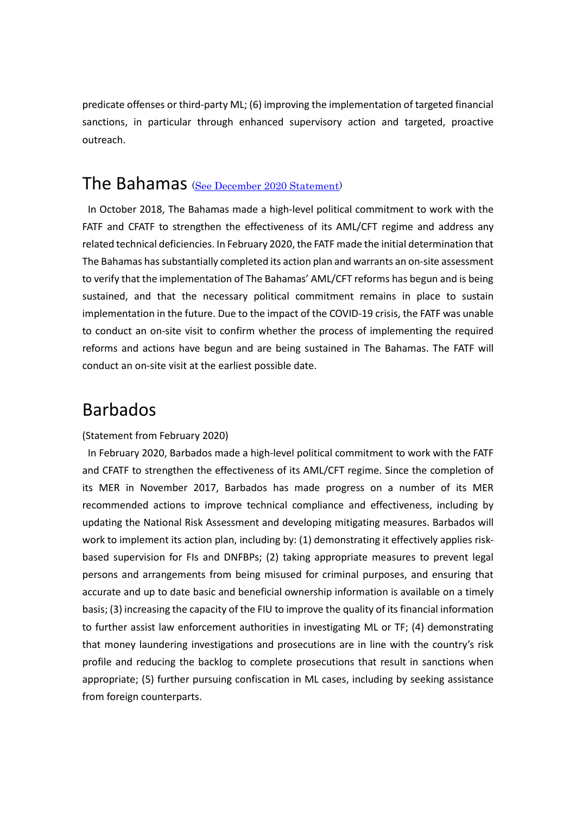predicate offenses or third-party ML; (6) improving the implementation of targeted financial sanctions, in particular through enhanced supervisory action and targeted, proactive outreach.

### The Bahamas ([See December 2020 Statement\)](http://www.fatf-gafi.org/publications/high-risk-and-other-monitored-jurisdictions/documents/bahamas-delisting-2020.html)

 In October 2018, The Bahamas made a high-level political commitment to work with the FATF and CFATF to strengthen the effectiveness of its AML/CFT regime and address any related technical deficiencies. In February 2020, the FATF made the initial determination that The Bahamas has substantially completed its action plan and warrants an on-site assessment to verify that the implementation of The Bahamas' AML/CFT reforms has begun and is being sustained, and that the necessary political commitment remains in place to sustain implementation in the future. Due to the impact of the COVID-19 crisis, the FATF was unable to conduct an on-site visit to confirm whether the process of implementing the required reforms and actions have begun and are being sustained in The Bahamas. The FATF will conduct an on-site visit at the earliest possible date.

# Barbados

#### (Statement from February 2020)

 In February 2020, Barbados made a high-level political commitment to work with the FATF and CFATF to strengthen the effectiveness of its AML/CFT regime. Since the completion of its MER in November 2017, Barbados has made progress on a number of its MER recommended actions to improve technical compliance and effectiveness, including by updating the National Risk Assessment and developing mitigating measures. Barbados will work to implement its action plan, including by: (1) demonstrating it effectively applies riskbased supervision for FIs and DNFBPs; (2) taking appropriate measures to prevent legal persons and arrangements from being misused for criminal purposes, and ensuring that accurate and up to date basic and beneficial ownership information is available on a timely basis; (3) increasing the capacity of the FIU to improve the quality of its financial information to further assist law enforcement authorities in investigating ML or TF; (4) demonstrating that money laundering investigations and prosecutions are in line with the country's risk profile and reducing the backlog to complete prosecutions that result in sanctions when appropriate; (5) further pursuing confiscation in ML cases, including by seeking assistance from foreign counterparts.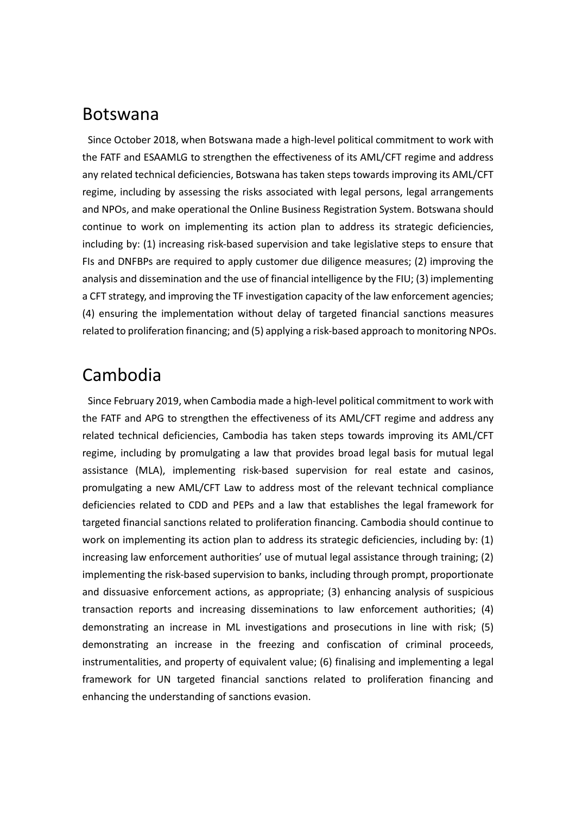### Botswana

 Since October 2018, when Botswana made a high-level political commitment to work with the FATF and ESAAMLG to strengthen the effectiveness of its AML/CFT regime and address any related technical deficiencies, Botswana has taken steps towards improving its AML/CFT regime, including by assessing the risks associated with legal persons, legal arrangements and NPOs, and make operational the Online Business Registration System. Botswana should continue to work on implementing its action plan to address its strategic deficiencies, including by: (1) increasing risk-based supervision and take legislative steps to ensure that FIs and DNFBPs are required to apply customer due diligence measures; (2) improving the analysis and dissemination and the use of financial intelligence by the FIU; (3) implementing a CFT strategy, and improving the TF investigation capacity of the law enforcement agencies; (4) ensuring the implementation without delay of targeted financial sanctions measures related to proliferation financing; and (5) applying a risk-based approach to monitoring NPOs.

# Cambodia

 Since February 2019, when Cambodia made a high-level political commitment to work with the FATF and APG to strengthen the effectiveness of its AML/CFT regime and address any related technical deficiencies, Cambodia has taken steps towards improving its AML/CFT regime, including by promulgating a law that provides broad legal basis for mutual legal assistance (MLA), implementing risk-based supervision for real estate and casinos, promulgating a new AML/CFT Law to address most of the relevant technical compliance deficiencies related to CDD and PEPs and a law that establishes the legal framework for targeted financial sanctions related to proliferation financing. Cambodia should continue to work on implementing its action plan to address its strategic deficiencies, including by: (1) increasing law enforcement authorities' use of mutual legal assistance through training; (2) implementing the risk-based supervision to banks, including through prompt, proportionate and dissuasive enforcement actions, as appropriate; (3) enhancing analysis of suspicious transaction reports and increasing disseminations to law enforcement authorities; (4) demonstrating an increase in ML investigations and prosecutions in line with risk; (5) demonstrating an increase in the freezing and confiscation of criminal proceeds, instrumentalities, and property of equivalent value; (6) finalising and implementing a legal framework for UN targeted financial sanctions related to proliferation financing and enhancing the understanding of sanctions evasion.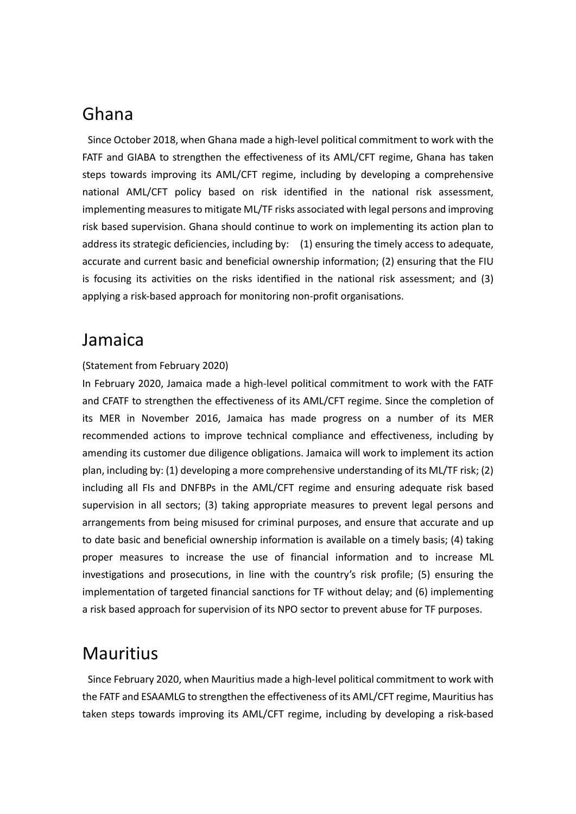# Ghana

 Since October 2018, when Ghana made a high-level political commitment to work with the FATF and GIABA to strengthen the effectiveness of its AML/CFT regime, Ghana has taken steps towards improving its AML/CFT regime, including by developing a comprehensive national AML/CFT policy based on risk identified in the national risk assessment, implementing measures to mitigate ML/TF risks associated with legal persons and improving risk based supervision. Ghana should continue to work on implementing its action plan to address its strategic deficiencies, including by: (1) ensuring the timely access to adequate, accurate and current basic and beneficial ownership information; (2) ensuring that the FIU is focusing its activities on the risks identified in the national risk assessment; and (3) applying a risk-based approach for monitoring non-profit organisations.

## Jamaica

#### (Statement from February 2020)

In February 2020, Jamaica made a high-level political commitment to work with the FATF and CFATF to strengthen the effectiveness of its AML/CFT regime. Since the completion of its MER in November 2016, Jamaica has made progress on a number of its MER recommended actions to improve technical compliance and effectiveness, including by amending its customer due diligence obligations. Jamaica will work to implement its action plan, including by: (1) developing a more comprehensive understanding of its ML/TF risk; (2) including all FIs and DNFBPs in the AML/CFT regime and ensuring adequate risk based supervision in all sectors; (3) taking appropriate measures to prevent legal persons and arrangements from being misused for criminal purposes, and ensure that accurate and up to date basic and beneficial ownership information is available on a timely basis; (4) taking proper measures to increase the use of financial information and to increase ML investigations and prosecutions, in line with the country's risk profile; (5) ensuring the implementation of targeted financial sanctions for TF without delay; and (6) implementing a risk based approach for supervision of its NPO sector to prevent abuse for TF purposes.

## Mauritius

 Since February 2020, when Mauritius made a high-level political commitment to work with the FATF and ESAAMLG to strengthen the effectiveness of its AML/CFT regime, Mauritius has taken steps towards improving its AML/CFT regime, including by developing a risk-based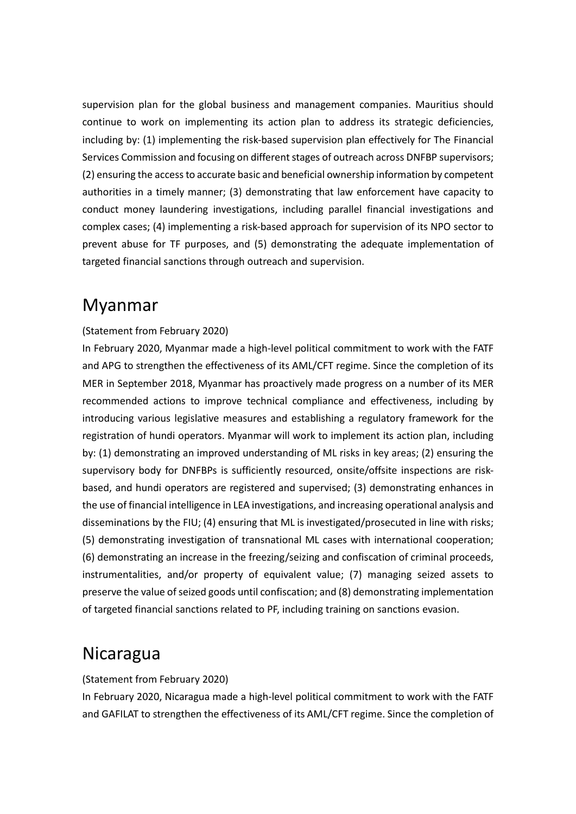supervision plan for the global business and management companies. Mauritius should continue to work on implementing its action plan to address its strategic deficiencies, including by: (1) implementing the risk-based supervision plan effectively for The Financial Services Commission and focusing on different stages of outreach across DNFBP supervisors; (2) ensuring the access to accurate basic and beneficial ownership information by competent authorities in a timely manner; (3) demonstrating that law enforcement have capacity to conduct money laundering investigations, including parallel financial investigations and complex cases; (4) implementing a risk-based approach for supervision of its NPO sector to prevent abuse for TF purposes, and (5) demonstrating the adequate implementation of targeted financial sanctions through outreach and supervision.

## Myanmar

#### (Statement from February 2020)

In February 2020, Myanmar made a high-level political commitment to work with the FATF and APG to strengthen the effectiveness of its AML/CFT regime. Since the completion of its MER in September 2018, Myanmar has proactively made progress on a number of its MER recommended actions to improve technical compliance and effectiveness, including by introducing various legislative measures and establishing a regulatory framework for the registration of hundi operators. Myanmar will work to implement its action plan, including by: (1) demonstrating an improved understanding of ML risks in key areas; (2) ensuring the supervisory body for DNFBPs is sufficiently resourced, onsite/offsite inspections are riskbased, and hundi operators are registered and supervised; (3) demonstrating enhances in the use of financial intelligence in LEA investigations, and increasing operational analysis and disseminations by the FIU; (4) ensuring that ML is investigated/prosecuted in line with risks; (5) demonstrating investigation of transnational ML cases with international cooperation; (6) demonstrating an increase in the freezing/seizing and confiscation of criminal proceeds, instrumentalities, and/or property of equivalent value; (7) managing seized assets to preserve the value of seized goods until confiscation; and (8) demonstrating implementation of targeted financial sanctions related to PF, including training on sanctions evasion.

## Nicaragua

(Statement from February 2020)

In February 2020, Nicaragua made a high-level political commitment to work with the FATF and GAFILAT to strengthen the effectiveness of its AML/CFT regime. Since the completion of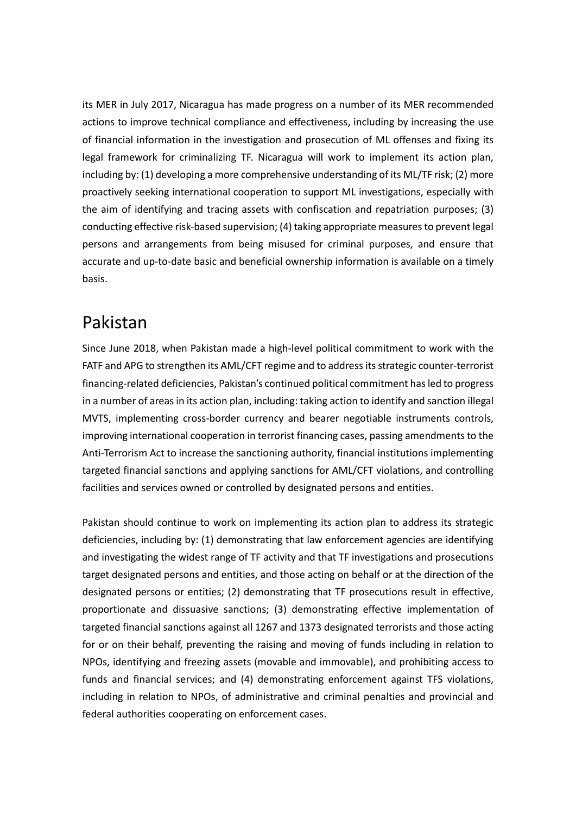its MER in July 2017, Nicaragua has made progress on a number of its MER recommended actions to improve technical compliance and effectiveness, including by increasing the use of financial information in the investigation and prosecution of ML offenses and fixing its legal framework for criminalizing TF. Nicaragua will work to implement its action plan, including by: (1) developing a more comprehensive understanding of its ML/TF risk; (2) more proactively seeking international cooperation to support ML investigations, especially with the aim of identifying and tracing assets with confiscation and repatriation purposes; (3) conducting effective risk-based supervision; (4) taking appropriate measures to prevent legal persons and arrangements from being misused for criminal purposes, and ensure that accurate and up-to-date basic and beneficial ownership information is available on a timely basis.

# Pakistan

Since June 2018, when Pakistan made a high-level political commitment to work with the FATF and APG to strengthen its AML/CFT regime and to address its strategic counter-terrorist financing-related deficiencies, Pakistan's continued political commitment has led to progress in a number of areas in its action plan, including: taking action to identify and sanction illegal MVTS, implementing cross-border currency and bearer negotiable instruments controls, improving international cooperation in terrorist financing cases, passing amendments to the Anti-Terrorism Act to increase the sanctioning authority, financial institutions implementing targeted financial sanctions and applying sanctions for AML/CFT violations, and controlling facilities and services owned or controlled by designated persons and entities.

Pakistan should continue to work on implementing its action plan to address its strategic deficiencies, including by: (1) demonstrating that law enforcement agencies are identifying and investigating the widest range of TF activity and that TF investigations and prosecutions target designated persons and entities, and those acting on behalf or at the direction of the designated persons or entities; (2) demonstrating that TF prosecutions result in effective, proportionate and dissuasive sanctions; (3) demonstrating effective implementation of targeted financial sanctions against all 1267 and 1373 designated terrorists and those acting for or on their behalf, preventing the raising and moving of funds including in relation to NPOs, identifying and freezing assets (movable and immovable), and prohibiting access to funds and financial services; and (4) demonstrating enforcement against TFS violations, including in relation to NPOs, of administrative and criminal penalties and provincial and federal authorities cooperating on enforcement cases.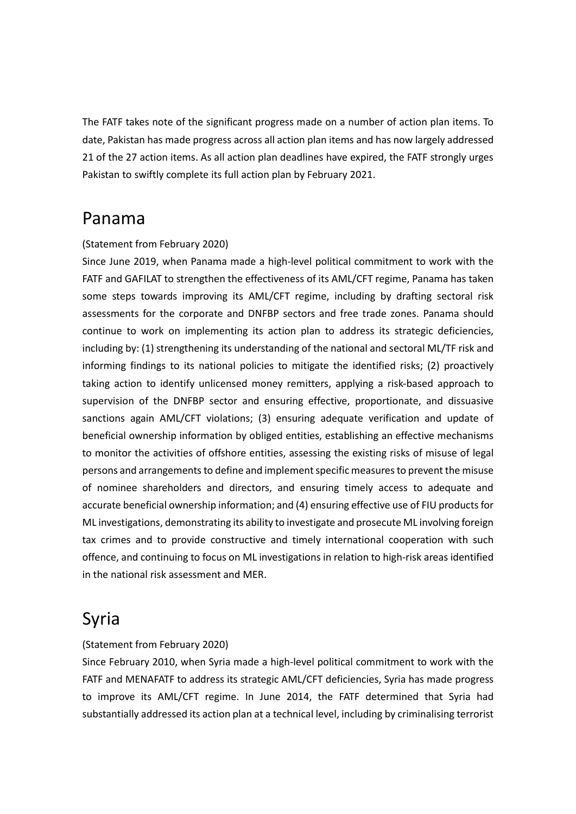The FATF takes note of the significant progress made on a number of action plan items. To date, Pakistan has made progress across all action plan items and has now largely addressed 21 of the 27 action items. As all action plan deadlines have expired, the FATF strongly urges Pakistan to swiftly complete its full action plan by February 2021.

## Panama

#### (Statement from February 2020)

Since June 2019, when Panama made a high-level political commitment to work with the FATF and GAFILAT to strengthen the effectiveness of its AML/CFT regime, Panama has taken some steps towards improving its AML/CFT regime, including by drafting sectoral risk assessments for the corporate and DNFBP sectors and free trade zones. Panama should continue to work on implementing its action plan to address its strategic deficiencies, including by: (1) strengthening its understanding of the national and sectoral ML/TF risk and informing findings to its national policies to mitigate the identified risks; (2) proactively taking action to identify unlicensed money remitters, applying a risk-based approach to supervision of the DNFBP sector and ensuring effective, proportionate, and dissuasive sanctions again AML/CFT violations; (3) ensuring adequate verification and update of beneficial ownership information by obliged entities, establishing an effective mechanisms to monitor the activities of offshore entities, assessing the existing risks of misuse of legal persons and arrangements to define and implement specific measures to prevent the misuse of nominee shareholders and directors, and ensuring timely access to adequate and accurate beneficial ownership information; and (4) ensuring effective use of FIU products for ML investigations, demonstrating its ability to investigate and prosecute ML involving foreign tax crimes and to provide constructive and timely international cooperation with such offence, and continuing to focus on ML investigations in relation to high-risk areas identified in the national risk assessment and MER.

# Syria

#### (Statement from February 2020)

Since February 2010, when Syria made a high-level political commitment to work with the FATF and MENAFATF to address its strategic AML/CFT deficiencies, Syria has made progress to improve its AML/CFT regime. In June 2014, the FATF determined that Syria had substantially addressed its action plan at a technical level, including by criminalising terrorist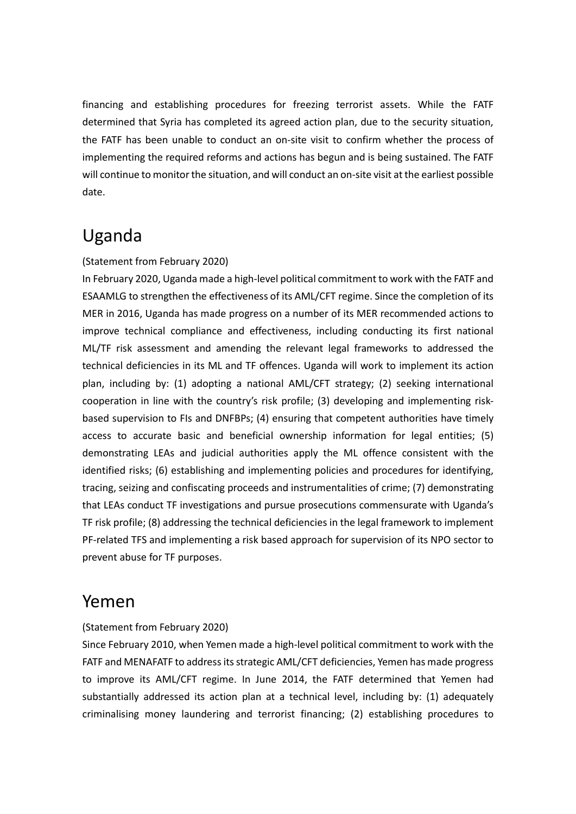financing and establishing procedures for freezing terrorist assets. While the FATF determined that Syria has completed its agreed action plan, due to the security situation, the FATF has been unable to conduct an on-site visit to confirm whether the process of implementing the required reforms and actions has begun and is being sustained. The FATF will continue to monitor the situation, and will conduct an on-site visit at the earliest possible date.

# Uganda

#### (Statement from February 2020)

In February 2020, Uganda made a high-level political commitment to work with the FATF and ESAAMLG to strengthen the effectiveness of its AML/CFT regime. Since the completion of its MER in 2016, Uganda has made progress on a number of its MER recommended actions to improve technical compliance and effectiveness, including conducting its first national ML/TF risk assessment and amending the relevant legal frameworks to addressed the technical deficiencies in its ML and TF offences. Uganda will work to implement its action plan, including by: (1) adopting a national AML/CFT strategy; (2) seeking international cooperation in line with the country's risk profile; (3) developing and implementing riskbased supervision to FIs and DNFBPs; (4) ensuring that competent authorities have timely access to accurate basic and beneficial ownership information for legal entities; (5) demonstrating LEAs and judicial authorities apply the ML offence consistent with the identified risks; (6) establishing and implementing policies and procedures for identifying, tracing, seizing and confiscating proceeds and instrumentalities of crime; (7) demonstrating that LEAs conduct TF investigations and pursue prosecutions commensurate with Uganda's TF risk profile; (8) addressing the technical deficiencies in the legal framework to implement PF-related TFS and implementing a risk based approach for supervision of its NPO sector to prevent abuse for TF purposes.

### Yemen

#### (Statement from February 2020)

Since February 2010, when Yemen made a high-level political commitment to work with the FATF and MENAFATF to address its strategic AML/CFT deficiencies, Yemen has made progress to improve its AML/CFT regime. In June 2014, the FATF determined that Yemen had substantially addressed its action plan at a technical level, including by: (1) adequately criminalising money laundering and terrorist financing; (2) establishing procedures to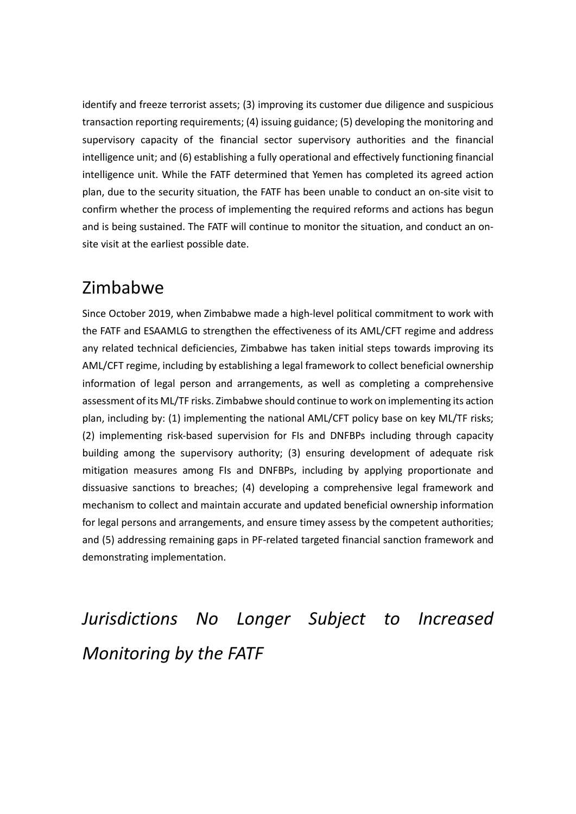identify and freeze terrorist assets; (3) improving its customer due diligence and suspicious transaction reporting requirements; (4) issuing guidance; (5) developing the monitoring and supervisory capacity of the financial sector supervisory authorities and the financial intelligence unit; and (6) establishing a fully operational and effectively functioning financial intelligence unit. While the FATF determined that Yemen has completed its agreed action plan, due to the security situation, the FATF has been unable to conduct an on-site visit to confirm whether the process of implementing the required reforms and actions has begun and is being sustained. The FATF will continue to monitor the situation, and conduct an onsite visit at the earliest possible date.

# Zimbabwe

Since October 2019, when Zimbabwe made a high-level political commitment to work with the FATF and ESAAMLG to strengthen the effectiveness of its AML/CFT regime and address any related technical deficiencies, Zimbabwe has taken initial steps towards improving its AML/CFT regime, including by establishing a legal framework to collect beneficial ownership information of legal person and arrangements, as well as completing a comprehensive assessment of its ML/TF risks. Zimbabwe should continue to work on implementing its action plan, including by: (1) implementing the national AML/CFT policy base on key ML/TF risks; (2) implementing risk-based supervision for FIs and DNFBPs including through capacity building among the supervisory authority; (3) ensuring development of adequate risk mitigation measures among FIs and DNFBPs, including by applying proportionate and dissuasive sanctions to breaches; (4) developing a comprehensive legal framework and mechanism to collect and maintain accurate and updated beneficial ownership information for legal persons and arrangements, and ensure timey assess by the competent authorities; and (5) addressing remaining gaps in PF-related targeted financial sanction framework and demonstrating implementation.

*Jurisdictions No Longer Subject to Increased Monitoring by the FATF*